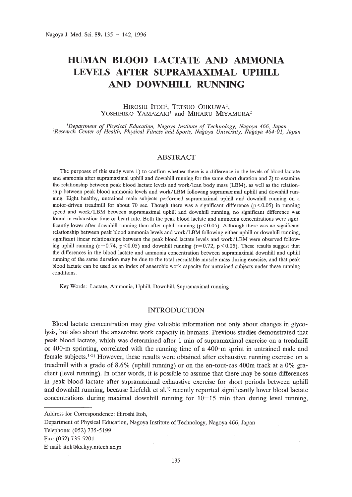# **HUMAN BLOOD LACTATE AND AMMONIA LEVELS AFTER SUPRAMAXIMAL UPHILL AND DOWNIDLL RUNNING**

#### HIROSHI ITOH<sup>1</sup>, TETSUO OHKUWA<sup>1</sup>, YOSHIHIKO YAMAZAKI<sup>1</sup> and MIHARU MIYAMURA<sup>2</sup>

<sup>1</sup>Department of Physical Education, Nagoya Institute of Technology, Nagoya 466, Japan<br>Research Center of Health, Physical Fitness and Sports, Nagoya University, Nagoya 464-01, Japan

## ABSTRACT

The purposes of this study were 1) to confirm whether there is a difference in the levels of blood lactate and ammonia after supramaximal uphill and downhill running for the same short duration and 2) to examine the relationship between peak blood lactate levels and work/lean body mass (LBM), as well as the relationship between peak blood ammonia levels and work/LBM following supramaximal uphill and downhill running. Eight healthy, untrained male subjects performed supramaximal uphill and downhill running on a motor-driven treadmill for about 70 sec. Though there was a significant difference ( $p < 0.05$ ) in running speed and work/LBM between supramaximal uphill and downhill running, no significant difference was found in exhaustion time or heart rate. Both the peak blood lactate and ammonia concentrations were significantly lower after downhill running than after uphill running  $(p < 0.05)$ . Although there was no significant relationship between peak blood ammonia levels and work/LBM following either uphill or downhill running, significant linear relationships between the peak blood lactate levels and work/LBM were observed following uphill running ( $r=0.74$ ,  $p<0.05$ ) and downhill running ( $r=0.72$ ,  $p<0.05$ ). These results suggest that the differences in the blood lactate and ammonia concentration between supramaximal downhill and uphill running of the same duration may be due to the total recruitable muscle mass during exercise, and that peak blood lactate can be used as an index of anaerobic work capacity for untrained subjects under these running conditions.

Key Words: Lactate, Ammonia, Uphill, Downhill, Supramaximal running

### INTRODUCTION

Blood lactate concentration may give valuable information not only about changes in glycolysis, but also about the anaerobic work capacity in humans. Previous studies demonstrated that peak blood lactate, which was determined after 1 min of supramaximal exercise on a treadmill or 400-m sprinting, correlated with the running time of a 400-m sprint in untrained male and female subjects.<sup>1-3</sup>) However, these results were obtained after exhaustive running exercise on a treadmill with a grade of 8.6% (uphill running) or on the en-tout-cas 400m track at a 0% gradient (level running). In other words, it is possible to assume that there may be some differences in peak blood lactate after supramaximal exhaustive exercise for short periods between uphill and downhill running, because Liefeldt et al.<sup>4)</sup> recently reported significantly lower blood lactate concentrations during maximal downhill running for  $10-15$  min than during level running,

Department of Physical Education, Nagoya Institute of Technology, Nagoya 466, Japan

Address for Correspondence: Hiroshi Itoh,

Telephone: (052) 735-5199

Fax: (052) 735-5201

E-mail: itoh@ks.kyy.nitech.ac.jp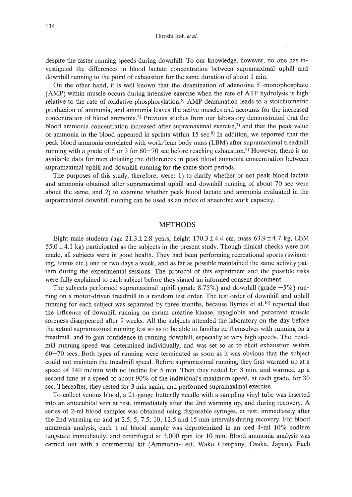Hiroshi Itoh *et al.*

despite the faster running speeds during downhill. To our knowledge, however, no one has investigated the differences in blood lactate concentration between supramaximal uphill and downhill running to the point of exhaustion for the same duration of about 1 min.

On the other hand, it is well known that the deamination of adenosine 5'-monophosphate (AMP) within muscle occurs during intensive exercise when the rate of ATP hydrolysis is high relative to the rate of oxidative phosphorylation. 5) AMP deamination leads to a stoichiometric production of ammonia, and ammonia leaves the active muscles and accounts for the increased concentration of blood ammonia. 6) Previous studies from our laboratory demonstrated that the blood ammonia concentration increased after supramaximal exercise, $\gamma$  and that the peak value of ammonia in the blood appeared in sprints within 15 sec.<sup>8)</sup> In addition, we reported that the peak blood ammonia correlated with work/lean body mass (LBM) after supramaximal treadmill running with a grade of 5 or 3 for  $60-70$  sec before reaching exhaustion.<sup>9</sup> However, there is no available data for men detailing the differences in peak blood ammonia concentration between supramaximal uphill and downhill running for the same short periods.

The purposes of this study, therefore, were: 1) to clarify whether or not peak blood lactate and ammonia obtained after supramaximal uphill and downhill running of about 70 sec were about the same, and 2) to examine whether peak blood lactate and ammonia evaluated in the supramaximal downhill running can be used as an index of anaerobic work capacity.

#### METHODS

Eight male students (age  $21.3 \pm 2.8$  years, height  $170.3 \pm 4.4$  cm, mass  $63.9 \pm 4.7$  kg, LBM  $55.0 \pm 4.1$  kg) participated as the subjects in the present study. Though clinical checks were not made, all subjects were in good health. They had been performing recreational sports (swimming, tennis etc.) one or two days a week, and as far as possible maintained the same activity pattern during the experimental sessions. The protocol of this experiment and the possible risks were fully explained to each subject before they signed an informed consent document.

The subjects performed supramaximal uphill (grade  $8.75\%$ ) and downhill (grade  $-5\%$ ) running on a motor-driven treadmill in a random test order. The test order of downhill and uphill running for each subject was separated by three months, because Byrnes et al. $^{10}$  reported that the influence of downhill running on serum creatine kinase, myoglobin and perceived muscle soreness disappeared after 9 weeks. All the subjects attended the laboratory on the day before the actual supramaximal running test so as to be able to familiarize themselves with running on a treadmill, and to gain confidence in running downhill, especially at very high speeds. The treadmill running speed was determined individually, and was set so as to elicit exhaustion within 60-70 secs. Both types of running were terminated as soon as it was obvious that the subject could not maintain the treadmill speed. Before supramaximal running, they first warmed up at a speed of 140 m/min with no incline for 5 min. Then they rested for 3 min, and warmed up a second time at a speed of about 90% of the individual's maximum speed, at each grade, for 30 sec. Thereafter, they rested for 3 min again, and performed supramaximal exercise.

To collect venous blood, a 21-gauge butterfly needle with a sampling vinyl tube was inserted into an antecubital vein at rest, immediately after the 2nd warming up, and during recovery. A series of 2-ml blood samples was obtained using disposable syringes, at rest, immediately after the 2nd warming up and at 2.5, 5, 7.5, 10, 12.5 and 15 min intervals during recovery. For blood ammonia analysis, each I-ml blood sample was deproteinized in an iced 4-ml 10% sodium tungstate immediately, and centrifuged at 3,000 rpm for 10 min. Blood ammonia analysis was carried out with a commercial kit (Ammonia-Test, Wako Company, Osaka, Japan). Each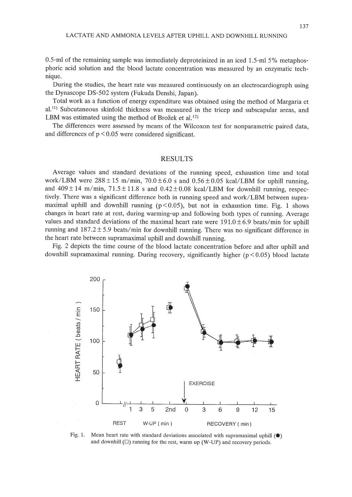0.5-ml of the remaining sample was immediately deproteinized in an iced 1.5-ml 5% metaphosphoric acid solution and the blood lactate concentration was measured by an enzymatic technique.

During the studies, the heart rate was measured continuously on an electrocardiograph using the Dynascope DS-502 system (Fukuda Denshi, Japan).

Total work as a function of energy expenditure was obtained using the method of Margaria et al.<sup>11)</sup> Subcutaneous skinfold thickness was measured in the tricep and subscapular areas, and LBM was estimated using the method of Brožek et al.<sup>12)</sup>

The differences were assessed by means of the Wilcoxon test for nonparametric paired data, and differences of  $p < 0.05$  were considered significant.

## RESULTS

Average values and standard deviations of the running speed, exhaustion time and total work/LBM were  $288 \pm 15$  m/min,  $70.0 \pm 6.0$  s and  $0.56 \pm 0.05$  kcal/LBM for uphill running, and  $409 \pm 14$  m/min,  $71.5 \pm 11.8$  s and  $0.42 \pm 0.08$  kcal/LBM for downhill running, respectively. There was a significant difference both in running speed and work/LBM between supramaximal uphill and downhill running  $(p < 0.05)$ , but not in exhaustion time. Fig. 1 shows changes in heart rate at rest, during warming-up and following both types of running. Average values and standard deviations of the maximal heart rate were  $191.0 \pm 6.9$  beats/min for uphill running and  $187.2 \pm 5.9$  beats/min for downhill running. There was no significant difference in the heart rate between supramaximal uphill and downhill running.

Fig. 2 depicts the time course of the blood lactate concentration before and after uphill and downhill supramaximal running. During recovery, significantly higher  $(p < 0.05)$  blood lactate



Fig. 1. Mean heart rate with standard deviations associated with supramaximal uphill  $\circ$ and downhill  $(\square)$  running for the rest, warm up (W-UP) and recovery periods.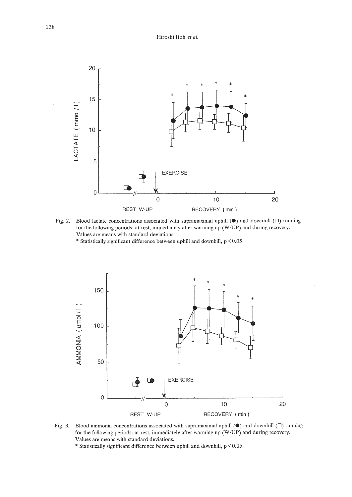

Fig. 2. Blood lactate concentrations associated with supramaximal uphill **(e)** and downhill (D) running for the following periods: at rest, immediately after warming up (W-UP) and during recovery. Values are means with standard deviations.

 $*$  Statistically significant difference between uphill and downhill,  $p < 0.05$ .



Fig. 3. Blood ammonia concentrations associated with supramaximal uphill  $(\bullet)$  and downhill  $(\square)$  running for the following periods: at rest, immediately after warming up (W-UP) and during recovery. Values are means with standard deviations.

 $*$  Statistically significant difference between uphill and downhill,  $p < 0.05$ .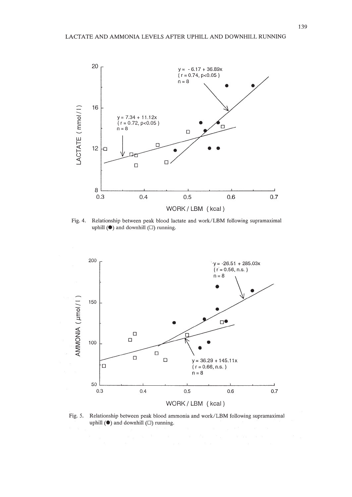

Fig. 4. Relationship between peak blood lactate and work/LBM following supramaximal uphill  $(\bullet)$  and downhill  $(\square)$  running.



Fig. 5. Relationship between peak blood ammonia and work/LBM following supramaximal uphill  $(\bullet)$  and downhill  $(\square)$  running.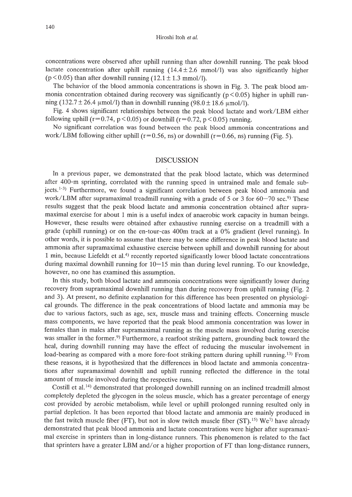Hiroshi Itoh *et at.*

concentrations were observed after uphill running than after downhill running. The peak blood lactate concentration after uphill running  $(14.4 \pm 2.6 \text{ mmol/l})$  was also significantly higher ( $p < 0.05$ ) than after downhill running ( $12.1 \pm 1.3$  mmol/l).

The behavior of the blood ammonia concentrations is shown in Fig. 3. The peak blood ammonia concentration obtained during recovery was significantly ( $p < 0.05$ ) higher in uphill running (132.7 ± 26.4  $\mu$ mol/l) than in downhill running (98.0 ± 18.6  $\mu$ mol/l).

Fig. 4 shows significant relationships between the peak blood lactate and work/LBM either following uphill ( $r=0.74$ ,  $p<0.05$ ) or downhill ( $r=0.72$ ,  $p<0.05$ ) running.

No significant correlation was found between the peak blood ammonia concentrations and work/LBM following either uphill ( $r=0.56$ , ns) or downhill ( $r=0.66$ , ns) running (Fig. 5).

## DISCUSSION

In a previous paper, we demonstrated that the peak blood lactate, which was determined after 400-m sprinting, correlated with the running speed in untrained male and female subjects.<sup>1-3)</sup> Furthermore, we found a significant correlation between peak blood ammonia and work/LBM after supramaximal treadmill running with a grade of 5 or 3 for  $60-70$  sec.<sup>9)</sup> These results suggest that the peak blood lactate and ammonia concentration obtained after supramaximal exercise for about 1 min is a useful index of anaerobic work capacity in human beings. However, these results were obtained after exhaustive running exercise on a treadmill with a grade (uphill running) or on the en-tour-cas 400m track at a 0% gradient (level running). In other words, it is possible to assume that there may be some difference in peak blood lactate and ammonia after supramaximal exhaustive exercise between uphill and downhill running for about 1 min, because Liefeldt et al.<sup>4)</sup> recently reported significantly lower blood lactate concentrations during maximal downhill running for  $10-15$  min than during level running. To our knowledge, however, no one has examined this assumption.

In this study, both blood lactate and ammonia concentrations were significantly lower during recovery from supramaximal downhill running than during recovery from uphill running (Fig. 2 and 3). At present, no definite explanation for this difference has been presented on physiological grounds. The difference in the peak concentrations of blood lactate and ammonia may be due to various factors, such as age, sex, muscle mass and training effects. Concerning muscle mass components, we have reported that the peak blood ammonia concentration was lower in females than in males after supramaximal running as the muscle mass involved during exercise was smaller in the former.<sup>9)</sup> Furthermore, a rearfoot striking pattern, grounding back toward the heal, during downhill running may have the effect of reducing the muscular involvement in load-bearing as compared with a more fore-foot striking pattern during uphill running.<sup>13)</sup> From these reasons, it is hypothesized that the differences in blood lactate and ammonia concentrations after supramaximal downhill and uphill running reflected the difference in the total amount of muscle involved during the respective runs.

Costill et al. 14) demonstrated that prolonged downhill running on an inclined treadmill almost completely depleted the glycogen in the soleus muscle, which has a greater percentage of energy cost provided by aerobic metabolism, while level or uphill prolonged running resulted only in partial depletion. It has been reported that blood lactate and ammonia are mainly produced in the fast twitch muscle fiber (FT), but not in slow twitch muscle fiber (ST).<sup>15)</sup> We<sup>7</sup> have already demonstrated that peak blood ammonia and lactate concentrations were higher after supramaximal exercise in sprinters than in long-distance runners. This phenomenon is related to the fact that sprinters have a greater LBM and/or a higher proportion of FT than long-distance runners,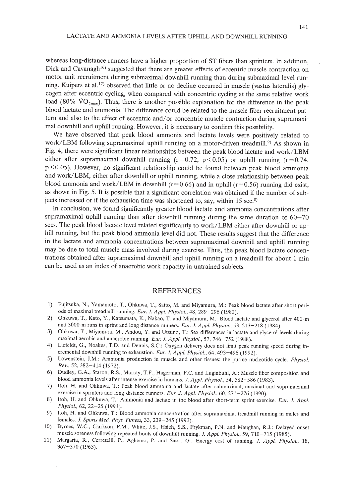whereas long-distance runners have a higher proportion of ST fibers than sprinters. In addition, Dick and Cavanagh<sup>16)</sup> suggested that there are greater effects of eccentric muscle contraction on motor unit recruitment during submaximal downhill running than during submaximal level running. Kuipers et al.<sup>17</sup> observed that little or no decline occurred in muscle (vastus lateralis) glycogen after eccentric cycling, when compared with concentric cycling at the same relative work load (80%  $\rm{VO_{2max}}$ ). Thus, there is another possible explanation for the difference in the peak blood lactate and ammonia. The difference could be related to the muscle fiber recruitment pattern and also to the effect of eccentric and/or concentric muscle contraction during supramaximal downhill and uphill running. However, it is necessary to confirm this possibility.

We have observed that peak blood ammonia and lactate levels were positively related to work/LBM following supramaximal uphill running on a motor-driven treadmill.<sup>9)</sup> As shown in Fig. 4, there were significant linear relationships between the peak blood lactate and work/LBM either after supramaximal downhill running ( $r=0.72$ ,  $p<0.05$ ) or uphill running ( $r=0.74$ , p < 0.05). However, no significant relationship could be found between peak blood ammonia and work/LBM, either after downhill or uphill running, while a close relationship between peak blood ammonia and work/LBM in downhill ( $r=0.66$ ) and in uphill ( $r=0.56$ ) running did exist, as shown in Fig. 5. It is possible that a significant correlation was obtained if the number of subjects increased or if the exhaustion time was shortened to, say, within 15 sec.<sup>8)</sup>

In conclusion, we found significantly greater blood lactate and ammonia concentrations after supramaximal uphill running than after downhill running during the same duration of  $60-70$ secs. The peak blood lactate level related significantly to work/LBM either after downhill or uphill running, but the peak blood ammonia level did not. These results suggest that the difference in the lactate and ammonia concentrations between supramaximal downhill and uphill running may be due to total muscle mass involved during exercise. Thus, the peak blood lactate concentrations obtained after supramaximal downhill and uphill running on a treadmill for about 1 min can be used as an index of anaerobic work capacity in untrained subjects.

## REFERENCES

- 1) Fujitsuka, N., Yamamoto, T., Ohkuwa, T., Saito, M. and Miyamura, M.: Peak blood lactate after short periods of maximal treadmill running. *Eur.* J. *Appl. Physiol.,* 48, 289-296 (1982).
- 2) Ohkuwa, T., Kato, Y., Katsumata, K., Nakao, T. and Miyamura, M.: Blood lactate and glycerol after 400-m and 3000-m runs in sprint and long distance runners. *Eur.* J. *Appl. Physiol.,* 53, 213-218 (1984).
- 3) Ohkuwa, T., Miyamura, M., Andou, Y. and Utsuno, T.: Sex differences in lactate and glycerol levels during maximal aerobic and anaerobic running. *Eur.* J. *Appl. Physiol.,* 57, 746-752 (1988).
- 4) Liefeldt, G., Noakes, T.D. and Dennis, S.c.: Oxygen delivery does not limit peak running speed during incremental downhill running to exhaustion. *Eur.* J. *Appl. Physiol.,* 64, 493-496 (1992).
- 5) Lowenstein, J.M.: Ammonia production in muscle and other tissues: the purine nucleotide cycle. *Physiol.* Rev., 52, 382-414 (1972).
- 6) Dudley, G.A., Staron, R.S., Murray, T.F., Hagerman, F.C. and Luginbuhl, A.: Muscle fiber composition and blood ammonia levels after intense exercise in humans. J. *Appl. Physiol.,* 54, 582-586 (1983).
- 7) Itoh, H. and Ohkuwa, *T.:* Peak blood ammonia and lactate after submaximal, maximal and supramaximal exercise in sprinters and long-distance runners. *Eur.* J. *Appl. Physiol.,* 60, 271-276 (1990).
- 8) Itoh, H. and Ohkuwa, T.: Ammonia and lactate in the blood after short-term sprint exercise. *Eur.* 1. *Appl. Physiol.,* 62, 22-25 (1991).
- 9) Itoh, H. and Ohkuwa, *T.:* Blood ammonia concentration after supramaximal treadmill running in males and females. J. *Sports Med. Phys. Fitness,* 33, 239-245 (1993).
- 10) Byrnes, W.C., Clarkson, P.M., White, J.S., Hsieh, S.S., Frykman, P.N. and Maughan, RJ.: Delayed onset muscle soreness following repeated bouts of downhill running. 1. *Appl. Physiol.,* 59, 710-715 (1985).
- 11) Margaria, R., Cerretelli, P., Aghemo, P. and Sassi, G.: Energy cost of running. J. *Appl. Physiol., 18,* 367-370 (1963).